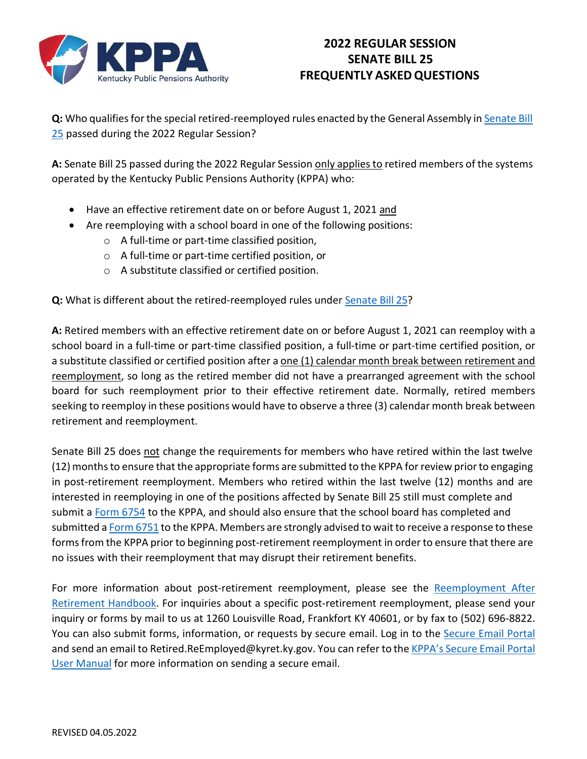

## **2022 REGULAR SESSION SENATE BILL 25 FREQUENTLY ASKEDQUESTIONS**

**Q:** Who qualifies for the special retired-reemployed rules enacted by the General Assembly in [Senate](https://apps.legislature.ky.gov/recorddocuments/bill/22RS/sb25/bill.pdf) Bill [25](https://apps.legislature.ky.gov/recorddocuments/bill/22RS/sb25/bill.pdf) passed during the 2022 Regular Session?

**A:** Senate Bill 25 passed during the 2022 Regular Session only appliesto retired members of the systems operated by the Kentucky Public Pensions Authority (KPPA) who:

- Have an effective retirement date on or before August 1, 2021 and
- Are reemploying with a school board in one of the following positions:
	- o A full-time or part-time classified position,
	- o A full-time or part-time certified position, or
	- o A substitute classified or certified position.

**Q:** What is different about the retired-reemployed rules under [Senate](https://apps.legislature.ky.gov/recorddocuments/bill/22RS/sb25/bill.pdf) Bill 25?

**A:** Retired members with an effective retirement date on or before August 1, 2021 can reemploy with a school board in a full-time or part-time classified position, a full-time or part-time certified position, or a substitute classified or certified position after a one (1) calendar month break between retirement and reemployment, so long as the retired member did not have a prearranged agreement with the school board for such reemployment prior to their effective retirement date. Normally, retired members seeking to reemploy in these positions would have to observe a three (3) calendar month break between retirement and reemployment.

Senate Bill 25 does not change the requirements for members who have retired within the last twelve (12) monthsto ensure that the appropriate forms are submitted to the KPPA for review priorto engaging in post-retirement reemployment. Members who retired within the last twelve (12) months and are interested in reemploying in one of the positions affected by Senate Bill 25 still must complete and submit a [Form 6754](https://kyret.ky.gov/Publications/All%20Forms/Form%206754.pdf) to the KPPA, and should also ensure that the school board has completed and submitted a [Form](https://kyret.ky.gov/Employers/Resources/Employer%20Forms/Form%206751.pdf) 6751 to the KPPA. Members are strongly advised to wait to receive a response to these forms from the KPPA prior to beginning post-retirement reemployment in order to ensure that there are no issues with their reemployment that may disrupt their retirement benefits.

For more information about post-retirement reemployment, please see the [Reemployment After](https://kyret.ky.gov/Publications/Books/Re-employment%20After%20Retirement.pdf) [Retirement Handbook.](https://kyret.ky.gov/Publications/Books/Re-employment%20After%20Retirement.pdf) For inquiries about a specific post-retirement reemployment, please send your inquiry or forms by mail to us at 1260 Louisville Road, Frankfort KY 40601, or by fax to (502) 696-8822. You can also submit forms, information, or requests by secure email. Log in to the [Secure Email Portal](https://web1.zixmail.net/s/login?b=kyret) and send an email to [Retired.ReEmployed@kyret.ky.gov.](mailto:Retired.ReEmployed@kyret.ky.gov) You can refer to the [KPPA's](https://kyret.ky.gov/Employers/Documents/KRSSecureEmailPortalUserManual.pdf) Secure Email Portal [User Manual](https://kyret.ky.gov/Employers/Documents/KRSSecureEmailPortalUserManual.pdf) for more information on sending a secure email.